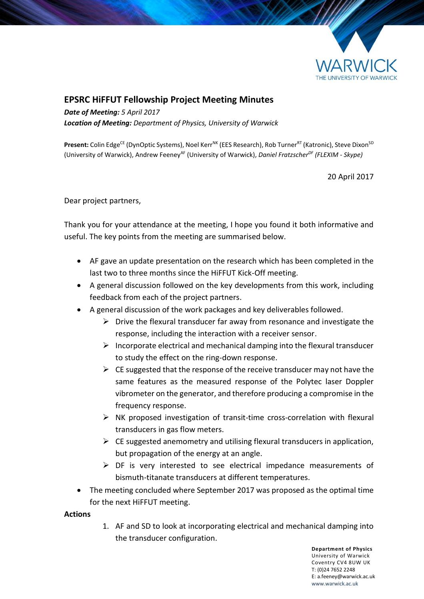

## **EPSRC HiFFUT Fellowship Project Meeting Minutes**

*Date of Meeting: 5 April 2017 Location of Meeting: Department of Physics, University of Warwick*

Present: Colin Edge<sup>CE</sup> (DynOptic Systems), Noel Kerr<sup>NK</sup> (EES Research), Rob Turner<sup>RT</sup> (Katronic), Steve Dixon<sup>SD</sup> (University of Warwick), Andrew FeeneyAF (University of Warwick), *Daniel FratzscherDF (FLEXIM - Skype)*

20 April 2017

Dear project partners,

Thank you for your attendance at the meeting, I hope you found it both informative and useful. The key points from the meeting are summarised below.

- AF gave an update presentation on the research which has been completed in the last two to three months since the HiFFUT Kick-Off meeting.
- A general discussion followed on the key developments from this work, including feedback from each of the project partners.
- A general discussion of the work packages and key deliverables followed.
	- $\triangleright$  Drive the flexural transducer far away from resonance and investigate the response, including the interaction with a receiver sensor.
	- $\triangleright$  Incorporate electrical and mechanical damping into the flexural transducer to study the effect on the ring-down response.
	- $\triangleright$  CE suggested that the response of the receive transducer may not have the same features as the measured response of the Polytec laser Doppler vibrometer on the generator, and therefore producing a compromise in the frequency response.
	- $\triangleright$  NK proposed investigation of transit-time cross-correlation with flexural transducers in gas flow meters.
	- $\triangleright$  CE suggested anemometry and utilising flexural transducers in application, but propagation of the energy at an angle.
	- $\triangleright$  DF is very interested to see electrical impedance measurements of bismuth-titanate transducers at different temperatures.
- The meeting concluded where September 2017 was proposed as the optimal time for the next HiFFUT meeting.

## **Actions**

1. AF and SD to look at incorporating electrical and mechanical damping into the transducer configuration.

> **Department of Physics** University of Warwick Coventry CV4 8UW UK T: (0)24 7652 2248 E: a.feeney@warwick.ac.uk <www.warwick.ac.uk>